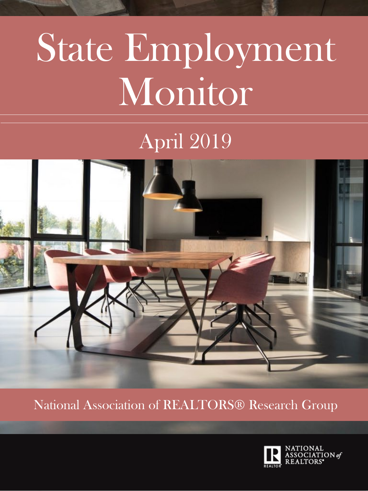# State Employment Monitor

# April 2019



National Association of REALTORS® Research Group

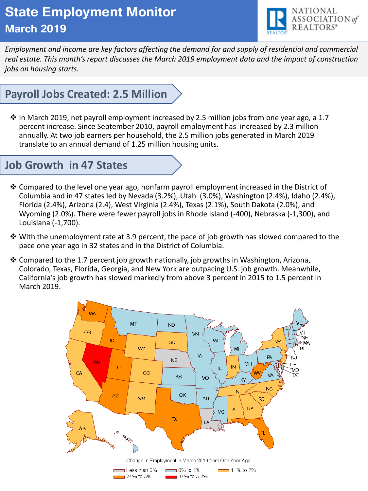# **State Employment Monitor March 2019**



*Employment and income are key factors affecting the demand for and supply of residential and commercial real estate. This month's report discusses the March 2019 employment data and the impact of construction jobs on housing starts.*

# **Payroll Jobs Created: 2.5 Million**

 $\cdot$  In March 2019, net payroll employment increased by 2.5 million jobs from one year ago, a 1.7 percent increase. Since September 2010, payroll employment has increased by 2.3 million annually. At two job earners per household, the 2.5 million jobs generated in March 2019 translate to an annual demand of 1.25 million housing units.

#### **Job Growth in 47 States**

- ❖ Compared to the level one year ago, nonfarm payroll employment increased in the District of Columbia and in 47 states led by Nevada (3.2%), Utah (3.0%), Washington (2.4%), Idaho (2.4%), Florida (2.4%), Arizona (2.4), West Virginia (2.4%), Texas (2.1%), South Dakota (2.0%), and Wyoming (2.0%). There were fewer payroll jobs in Rhode Island (-400), Nebraska (-1,300), and Louisiana (-1,700).
- $\diamond$  With the unemployment rate at 3.9 percent, the pace of job growth has slowed compared to the pace one year ago in 32 states and in the District of Columbia.
- ❖ Compared to the 1.7 percent job growth nationally, job growths in Washington, Arizona, Colorado, Texas, Florida, Georgia, and New York are outpacing U.S. job growth. Meanwhile, California's job growth has slowed markedly from above 3 percent in 2015 to 1.5 percent in March 2019.

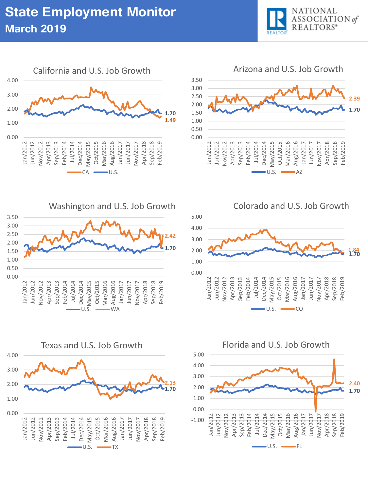





Washington and U.S. Job Growth







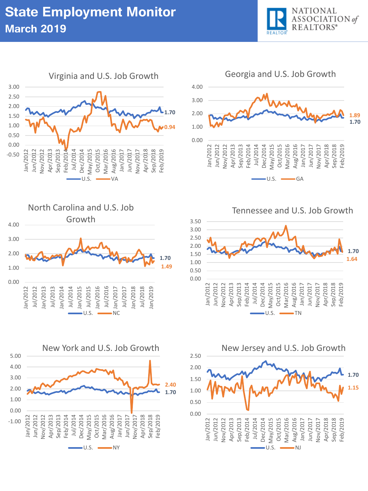





Tennessee and U.S. Job Growth







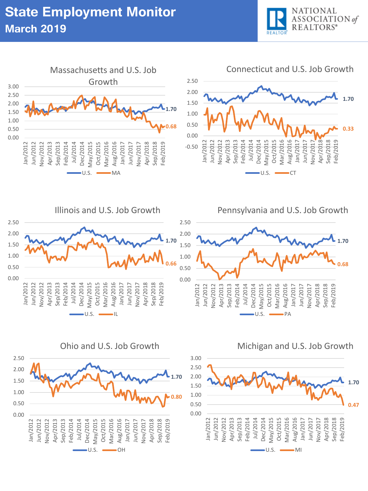



Ohio and U.S. Job Growth



Michigan and U.S. Job Growth

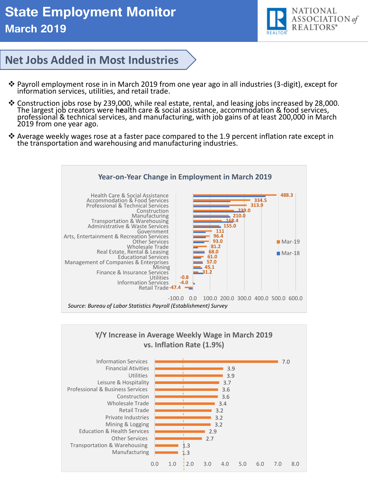

#### **Net Jobs Added in Most Industries**

- ❖ Payroll employment rose in in March 2019 from one year ago in all industries (3-digit), except for information services, utilities, and retail trade.
- ❖ Construction jobs rose by 239,000, while real estate, rental, and leasing jobs increased by 28,000. The largest job creators were h**e**alth care & social assistance, accommodation & food services, professional & technical services, and manufacturing, with job gains of at least 200,000 in March 2019 from one year ago.
- ❖ Average weekly wages rose at a faster pace compared to the 1.9 percent inflation rate except in the transportation and warehousing and manufacturing industries.



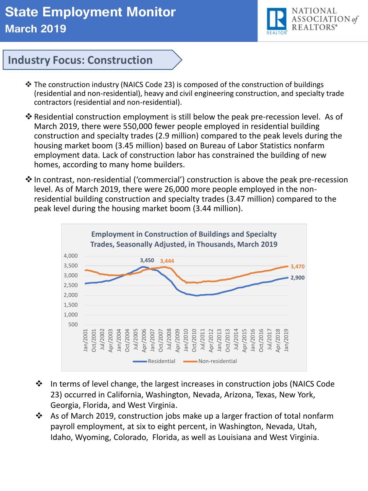### **State Employment Monitor March 2019**



#### **Industry Focus: Construction**

- ❖ The construction industry (NAICS Code 23) is composed of the construction of buildings (residential and non-residential), heavy and civil engineering construction, and specialty trade contractors (residential and non-residential).
- ❖ Residential construction employment is still below the peak pre-recession level. As of March 2019, there were 550,000 fewer people employed in residential building construction and specialty trades (2.9 million) compared to the peak levels during the housing market boom (3.45 million) based on Bureau of Labor Statistics nonfarm employment data. Lack of construction labor has constrained the building of new homes, according to many home builders.
- ❖ In contrast, non-residential ('commercial') construction is above the peak pre-recession level. As of March 2019, there were 26,000 more people employed in the nonresidential building construction and specialty trades (3.47 million) compared to the peak level during the housing market boom (3.44 million).



- ◆ In terms of level change, the largest increases in construction jobs (NAICS Code 23) occurred in California, Washington, Nevada, Arizona, Texas, New York, Georgia, Florida, and West Virginia.
- ◆ As of March 2019, construction jobs make up a larger fraction of total nonfarm payroll employment, at six to eight percent, in Washington, Nevada, Utah, Idaho, Wyoming, Colorado, Florida, as well as Louisiana and West Virginia.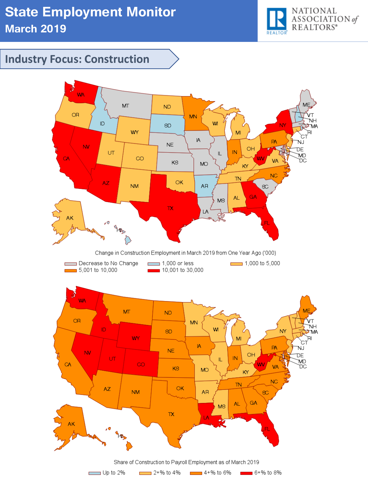

#### **Industry Focus: Construction**

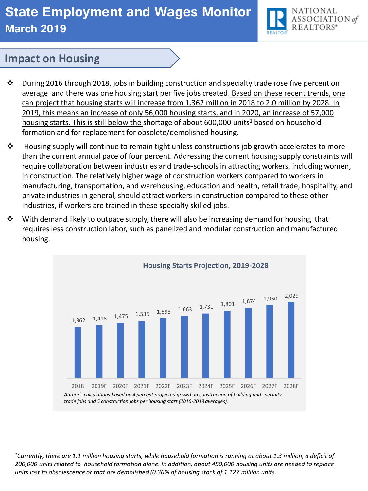# **State Employment and Wages Monitor March 2019**



#### **Impact on Housing**

- $\cdot \cdot$  During 2016 through 2018, jobs in building construction and specialty trade rose five percent on average and there was one housing start per five jobs created. Based on these recent trends, one can project that housing starts will increase from 1.362 million in 2018 to 2.0 million by 2028. In 2019, this means an increase of only 56,000 housing starts, and in 2020, an increase of 57,000 housing starts. This is still below the shortage of about 600,000 units<sup>1</sup> based on household formation and for replacement for obsolete/demolished housing.
- $\clubsuit$  Housing supply will continue to remain tight unless constructions job growth accelerates to more than the current annual pace of four percent. Addressing the current housing supply constraints will require collaboration between industries and trade-schools in attracting workers, including women, in construction. The relatively higher wage of construction workers compared to workers in manufacturing, transportation, and warehousing, education and health, retail trade, hospitality, and private industries in general, should attract workers in construction compared to these other industries, if workers are trained in these specialty skilled jobs.
- $\dots$  With demand likely to outpace supply, there will also be increasing demand for housing that requires less construction labor, such as panelized and modular construction and manufactured housing.



*<sup>1</sup>Currently, there are 1.1 million housing starts, while household formation is running at about 1.3 million, a deficit of 200,000 units related to household formation alone. In addition, about 450,000 housing units are needed to replace units lost to obsolescence or that are demolished (0.36% of housing stock of 1.127 million units.*